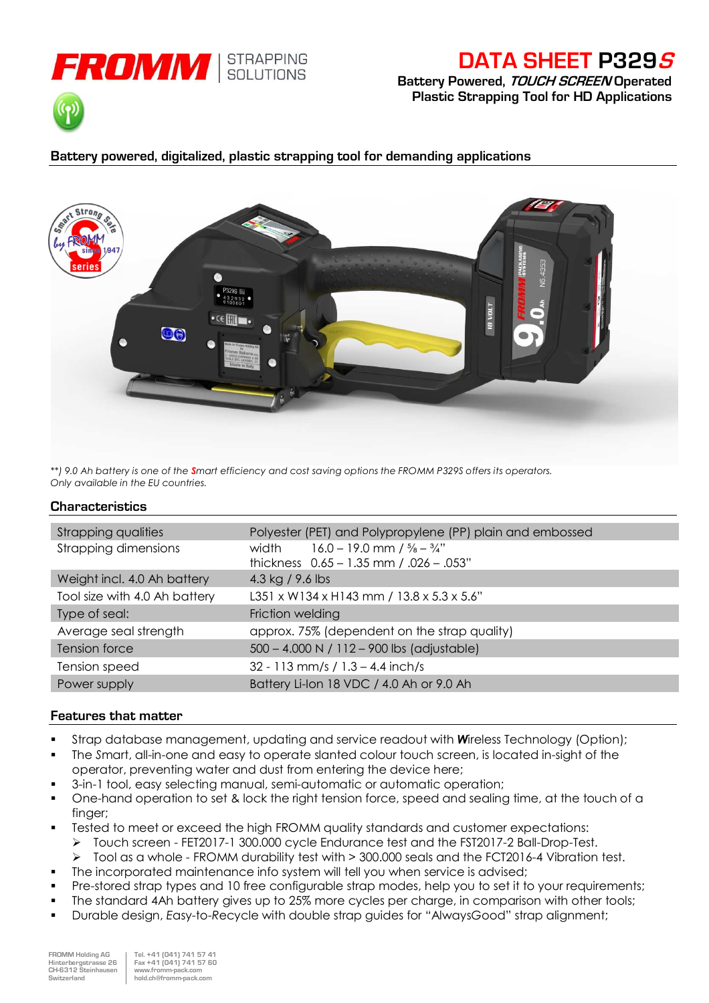

# **DATA SHEET P329<sup>S</sup>**

**Battery Powered, TOUCH SCREEN Operated Plastic Strapping Tool for HD Applications**



# **Battery powered, digitalized, plastic strapping tool for demanding applications**



*\*\*) 9.0 Ah battery is one of the Smart efficiency and cost saving options the FROMM P329S offers its operators. Only available in the EU countries.* 

### **Characteristics**

| <b>Strapping qualities</b>    | Polyester (PET) and Polypropylene (PP) plain and embossed |
|-------------------------------|-----------------------------------------------------------|
| Strapping dimensions          | $16.0 - 19.0$ mm / $\frac{5}{8} - \frac{3}{4}$ "<br>width |
|                               | thickness $0.65 - 1.35$ mm / $.026 - .053$ "              |
| Weight incl. 4.0 Ah battery   | 4.3 kg / 9.6 lbs                                          |
| Tool size with 4.0 Ah battery | L351 x W134 x H143 mm / 13.8 x 5.3 x 5.6"                 |
|                               |                                                           |
| Type of seal:                 | Friction welding                                          |
| Average seal strength         | approx. 75% (dependent on the strap quality)              |
| Tension force                 | 500 - 4.000 N / 112 - 900 lbs (adjustable)                |
| Tension speed                 | 32 - 113 mm/s / 1.3 - 4.4 inch/s                          |
| Power supply                  | Battery Li-Ion 18 VDC / 4.0 Ah or 9.0 Ah                  |

### **Features that matter**

- Strap database management, updating and service readout with *W*ireless Technology (Option);
- The *S*mart, all-in-one and easy to operate slanted colour touch screen, is located in-sight of the operator, preventing water and dust from entering the device here;
- 3-in-1 tool, easy selecting manual, semi-automatic or automatic operation;
- One-hand operation to set & lock the right tension force, speed and sealing time, at the touch of a finger:
- Tested to meet or exceed the high FROMM quality standards and customer expectations:
	- > Touch screen FET2017-1 300.000 cycle Endurance test and the FST2017-2 Ball-Drop-Test.
	- > Tool as a whole FROMM durability test with > 300.000 seals and the FCT2016-4 Vibration test.
- The incorporated maintenance info system will tell you when service is advised;
- Pre-stored strap types and 10 free configurable strap modes, help you to set it to your requirements;
- The standard 4Ah battery gives up to 25% more cycles per charge, in comparison with other tools;
- Durable design, *E*asy-to-*R*ecycle with double strap guides for "Always*G*ood" strap alignment;